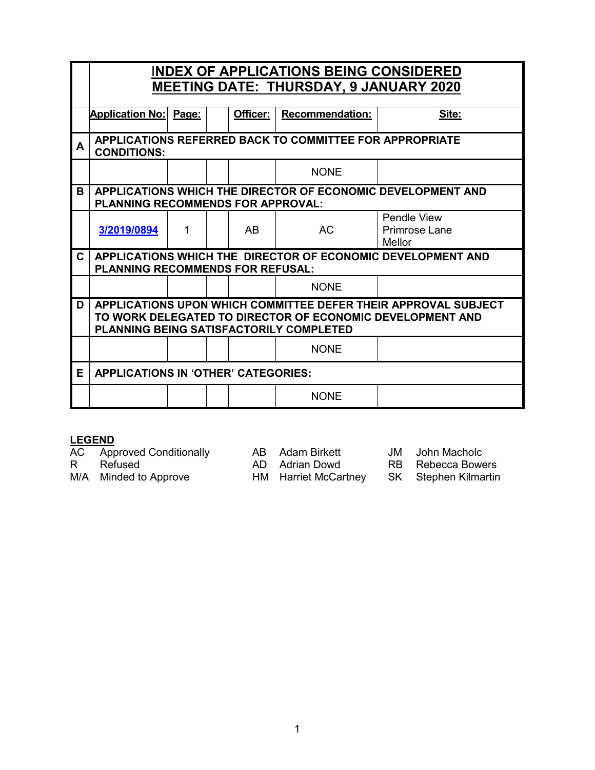|    | <b>INDEX OF APPLICATIONS BEING CONSIDERED</b>                                                                                                                                 |       |  |           |                        |                                        |  |  |
|----|-------------------------------------------------------------------------------------------------------------------------------------------------------------------------------|-------|--|-----------|------------------------|----------------------------------------|--|--|
|    | <b>MEETING DATE: THURSDAY, 9 JANUARY 2020</b>                                                                                                                                 |       |  |           |                        |                                        |  |  |
|    | <b>Application No:</b>                                                                                                                                                        | Page: |  | Officer:  | <b>Recommendation:</b> | Site:                                  |  |  |
| A  | <b>APPLICATIONS REFERRED BACK TO COMMITTEE FOR APPROPRIATE</b><br><b>CONDITIONS:</b>                                                                                          |       |  |           |                        |                                        |  |  |
|    |                                                                                                                                                                               |       |  |           | <b>NONE</b>            |                                        |  |  |
| в  | APPLICATIONS WHICH THE DIRECTOR OF ECONOMIC DEVELOPMENT AND<br><b>PLANNING RECOMMENDS FOR APPROVAL:</b>                                                                       |       |  |           |                        |                                        |  |  |
|    | 3/2019/0894                                                                                                                                                                   | 1     |  | <b>AB</b> | <b>AC</b>              | Pendle View<br>Primrose Lane<br>Mellor |  |  |
| C. | APPLICATIONS WHICH THE DIRECTOR OF ECONOMIC DEVELOPMENT AND<br><b>PLANNING RECOMMENDS FOR REFUSAL:</b>                                                                        |       |  |           |                        |                                        |  |  |
|    |                                                                                                                                                                               |       |  |           | <b>NONE</b>            |                                        |  |  |
| D  | APPLICATIONS UPON WHICH COMMITTEE DEFER THEIR APPROVAL SUBJECT<br>TO WORK DELEGATED TO DIRECTOR OF ECONOMIC DEVELOPMENT AND<br><b>PLANNING BEING SATISFACTORILY COMPLETED</b> |       |  |           |                        |                                        |  |  |
|    |                                                                                                                                                                               |       |  |           | <b>NONE</b>            |                                        |  |  |
| Е  | <b>APPLICATIONS IN 'OTHER' CATEGORIES:</b>                                                                                                                                    |       |  |           |                        |                                        |  |  |
|    |                                                                                                                                                                               |       |  |           | <b>NONE</b>            |                                        |  |  |

# **LEGEND**<br>AC App

<u>LESENS</u><br>AC Approved Conditionally AB Adam Birkett JM John Macholc<br>R Refused AD Adrian Dowd RB Rebecca Bowers

M/A Minded to Approve

AD Adrian Dowd RB Rebecca Bowers<br>
HM Harriet McCartney SK Stephen Kilmartin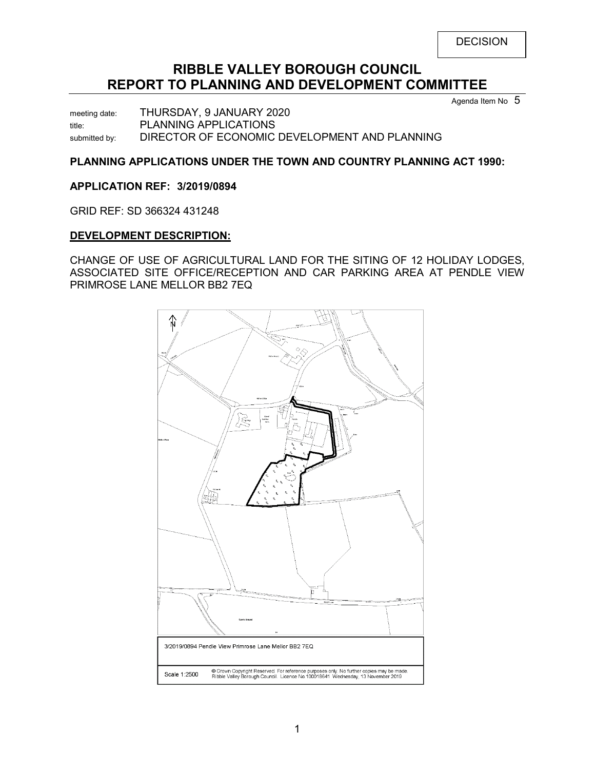# **RIBBLE VALLEY BOROUGH COUNCIL REPORT TO PLANNING AND DEVELOPMENT COMMITTEE**

Agenda Item No 5

meeting date: THURSDAY, 9 JANUARY 2020 title: PLANNING APPLICATIONS submitted by: DIRECTOR OF ECONOMIC DEVELOPMENT AND PLANNING

#### **PLANNING APPLICATIONS UNDER THE TOWN AND COUNTRY PLANNING ACT 1990:**

#### <span id="page-1-0"></span>**APPLICATION REF: 3/2019/0894**

GRID REF: SD 366324 431248

#### **DEVELOPMENT DESCRIPTION:**

CHANGE OF USE OF AGRICULTURAL LAND FOR THE SITING OF 12 HOLIDAY LODGES, ASSOCIATED SITE OFFICE/RECEPTION AND CAR PARKING AREA AT PENDLE VIEW PRIMROSE LANE MELLOR BB2 7EQ

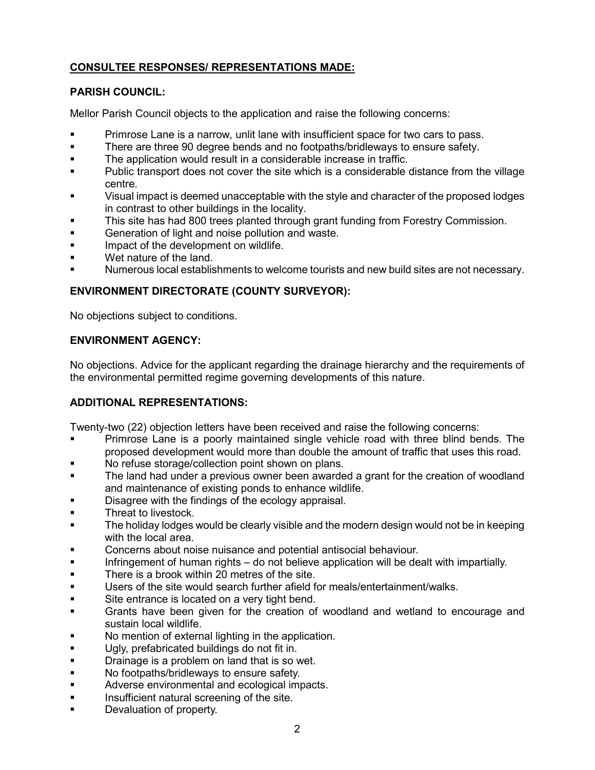# **CONSULTEE RESPONSES/ REPRESENTATIONS MADE:**

### **PARISH COUNCIL:**

Mellor Parish Council objects to the application and raise the following concerns:

- Primrose Lane is a narrow, unlit lane with insufficient space for two cars to pass.
- There are three 90 degree bends and no footpaths/bridleways to ensure safety.
- The application would result in a considerable increase in traffic.
- Public transport does not cover the site which is a considerable distance from the village centre.
- Visual impact is deemed unacceptable with the style and character of the proposed lodges in contrast to other buildings in the locality.
- This site has had 800 trees planted through grant funding from Forestry Commission.
- **Generation of light and noise pollution and waste.**
- **IMPACT OF the development on wildlife.**
- Wet nature of the land.
- Numerous local establishments to welcome tourists and new build sites are not necessary.

# **ENVIRONMENT DIRECTORATE (COUNTY SURVEYOR):**

No objections subject to conditions.

#### **ENVIRONMENT AGENCY:**

No objections. Advice for the applicant regarding the drainage hierarchy and the requirements of the environmental permitted regime governing developments of this nature.

# **ADDITIONAL REPRESENTATIONS:**

Twenty-two (22) objection letters have been received and raise the following concerns:

- Primrose Lane is a poorly maintained single vehicle road with three blind bends. The proposed development would more than double the amount of traffic that uses this road.
- No refuse storage/collection point shown on plans.
- The land had under a previous owner been awarded a grant for the creation of woodland and maintenance of existing ponds to enhance wildlife.
- Disagree with the findings of the ecology appraisal.
- Threat to livestock.
- The holiday lodges would be clearly visible and the modern design would not be in keeping with the local area.
- Concerns about noise nuisance and potential antisocial behaviour.
- **Infringement of human rights do not believe application will be dealt with impartially.**
- **There is a brook within 20 metres of the site.**
- Users of the site would search further afield for meals/entertainment/walks.
- Site entrance is located on a very tight bend.
- Grants have been given for the creation of woodland and wetland to encourage and sustain local wildlife.
- No mention of external lighting in the application.
- **Ugly, prefabricated buildings do not fit in.**
- Drainage is a problem on land that is so wet.
- **No footpaths/bridleways to ensure safety.**
- **Adverse environmental and ecological impacts.**
- **Insufficient natural screening of the site.**
- Devaluation of property.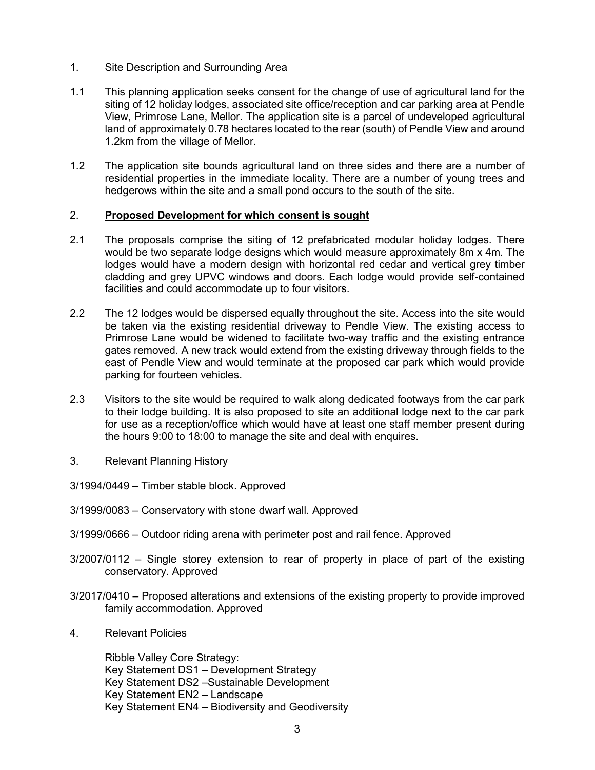- 1. Site Description and Surrounding Area
- 1.1 This planning application seeks consent for the change of use of agricultural land for the siting of 12 holiday lodges, associated site office/reception and car parking area at Pendle View, Primrose Lane, Mellor. The application site is a parcel of undeveloped agricultural land of approximately 0.78 hectares located to the rear (south) of Pendle View and around 1.2km from the village of Mellor.
- 1.2 The application site bounds agricultural land on three sides and there are a number of residential properties in the immediate locality. There are a number of young trees and hedgerows within the site and a small pond occurs to the south of the site.

#### 2. **Proposed Development for which consent is sought**

- 2.1 The proposals comprise the siting of 12 prefabricated modular holiday lodges. There would be two separate lodge designs which would measure approximately 8m x 4m. The lodges would have a modern design with horizontal red cedar and vertical grey timber cladding and grey UPVC windows and doors. Each lodge would provide self-contained facilities and could accommodate up to four visitors.
- 2.2 The 12 lodges would be dispersed equally throughout the site. Access into the site would be taken via the existing residential driveway to Pendle View. The existing access to Primrose Lane would be widened to facilitate two-way traffic and the existing entrance gates removed. A new track would extend from the existing driveway through fields to the east of Pendle View and would terminate at the proposed car park which would provide parking for fourteen vehicles.
- 2.3 Visitors to the site would be required to walk along dedicated footways from the car park to their lodge building. It is also proposed to site an additional lodge next to the car park for use as a reception/office which would have at least one staff member present during the hours 9:00 to 18:00 to manage the site and deal with enquires.
- 3. Relevant Planning History
- 3/1994/0449 Timber stable block. Approved
- 3/1999/0083 Conservatory with stone dwarf wall. Approved
- 3/1999/0666 Outdoor riding arena with perimeter post and rail fence. Approved
- 3/2007/0112 Single storey extension to rear of property in place of part of the existing conservatory. Approved
- 3/2017/0410 Proposed alterations and extensions of the existing property to provide improved family accommodation. Approved
- 4. Relevant Policies

Ribble Valley Core Strategy: Key Statement DS1 – Development Strategy Key Statement DS2 –Sustainable Development Key Statement EN2 – Landscape Key Statement EN4 – Biodiversity and Geodiversity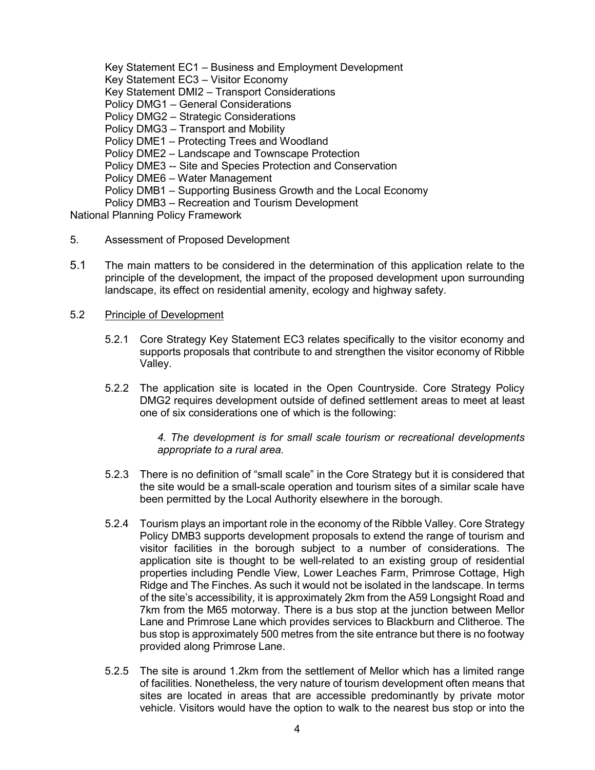Key Statement EC1 – Business and Employment Development Key Statement EC3 – Visitor Economy Key Statement DMI2 – Transport Considerations Policy DMG1 – General Considerations Policy DMG2 – Strategic Considerations Policy DMG3 – Transport and Mobility Policy DME1 – Protecting Trees and Woodland Policy DME2 – Landscape and Townscape Protection Policy DME3 -- Site and Species Protection and Conservation Policy DME6 – Water Management Policy DMB1 – Supporting Business Growth and the Local Economy Policy DMB3 – Recreation and Tourism Development National Planning Policy Framework

- 5. Assessment of Proposed Development
- 5.1 The main matters to be considered in the determination of this application relate to the principle of the development, the impact of the proposed development upon surrounding landscape, its effect on residential amenity, ecology and highway safety.
- 5.2 Principle of Development
	- 5.2.1 Core Strategy Key Statement EC3 relates specifically to the visitor economy and supports proposals that contribute to and strengthen the visitor economy of Ribble Valley.
	- 5.2.2 The application site is located in the Open Countryside. Core Strategy Policy DMG2 requires development outside of defined settlement areas to meet at least one of six considerations one of which is the following:

*4. The development is for small scale tourism or recreational developments appropriate to a rural area.*

- 5.2.3 There is no definition of "small scale" in the Core Strategy but it is considered that the site would be a small-scale operation and tourism sites of a similar scale have been permitted by the Local Authority elsewhere in the borough.
- 5.2.4 Tourism plays an important role in the economy of the Ribble Valley. Core Strategy Policy DMB3 supports development proposals to extend the range of tourism and visitor facilities in the borough subject to a number of considerations. The application site is thought to be well-related to an existing group of residential properties including Pendle View, Lower Leaches Farm, Primrose Cottage, High Ridge and The Finches. As such it would not be isolated in the landscape. In terms of the site's accessibility, it is approximately 2km from the A59 Longsight Road and 7km from the M65 motorway. There is a bus stop at the junction between Mellor Lane and Primrose Lane which provides services to Blackburn and Clitheroe. The bus stop is approximately 500 metres from the site entrance but there is no footway provided along Primrose Lane.
- 5.2.5 The site is around 1.2km from the settlement of Mellor which has a limited range of facilities. Nonetheless, the very nature of tourism development often means that sites are located in areas that are accessible predominantly by private motor vehicle. Visitors would have the option to walk to the nearest bus stop or into the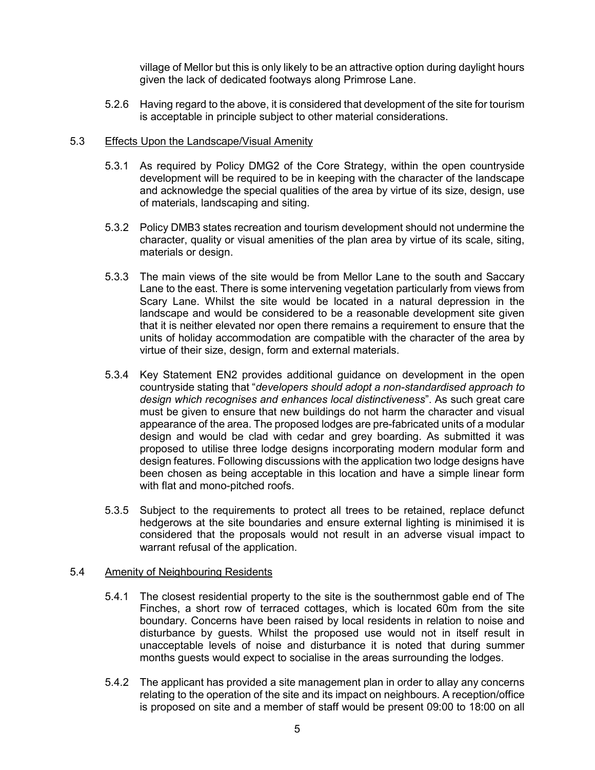village of Mellor but this is only likely to be an attractive option during daylight hours given the lack of dedicated footways along Primrose Lane.

5.2.6 Having regard to the above, it is considered that development of the site for tourism is acceptable in principle subject to other material considerations.

#### 5.3 Effects Upon the Landscape/Visual Amenity

- 5.3.1 As required by Policy DMG2 of the Core Strategy, within the open countryside development will be required to be in keeping with the character of the landscape and acknowledge the special qualities of the area by virtue of its size, design, use of materials, landscaping and siting.
- 5.3.2 Policy DMB3 states recreation and tourism development should not undermine the character, quality or visual amenities of the plan area by virtue of its scale, siting, materials or design.
- 5.3.3 The main views of the site would be from Mellor Lane to the south and Saccary Lane to the east. There is some intervening vegetation particularly from views from Scary Lane. Whilst the site would be located in a natural depression in the landscape and would be considered to be a reasonable development site given that it is neither elevated nor open there remains a requirement to ensure that the units of holiday accommodation are compatible with the character of the area by virtue of their size, design, form and external materials.
- 5.3.4 Key Statement EN2 provides additional guidance on development in the open countryside stating that "*developers should adopt a non-standardised approach to design which recognises and enhances local distinctiveness*". As such great care must be given to ensure that new buildings do not harm the character and visual appearance of the area. The proposed lodges are pre-fabricated units of a modular design and would be clad with cedar and grey boarding. As submitted it was proposed to utilise three lodge designs incorporating modern modular form and design features. Following discussions with the application two lodge designs have been chosen as being acceptable in this location and have a simple linear form with flat and mono-pitched roofs.
- 5.3.5 Subject to the requirements to protect all trees to be retained, replace defunct hedgerows at the site boundaries and ensure external lighting is minimised it is considered that the proposals would not result in an adverse visual impact to warrant refusal of the application.

#### 5.4 Amenity of Neighbouring Residents

- 5.4.1 The closest residential property to the site is the southernmost gable end of The Finches, a short row of terraced cottages, which is located 60m from the site boundary. Concerns have been raised by local residents in relation to noise and disturbance by guests. Whilst the proposed use would not in itself result in unacceptable levels of noise and disturbance it is noted that during summer months guests would expect to socialise in the areas surrounding the lodges.
- 5.4.2 The applicant has provided a site management plan in order to allay any concerns relating to the operation of the site and its impact on neighbours. A reception/office is proposed on site and a member of staff would be present 09:00 to 18:00 on all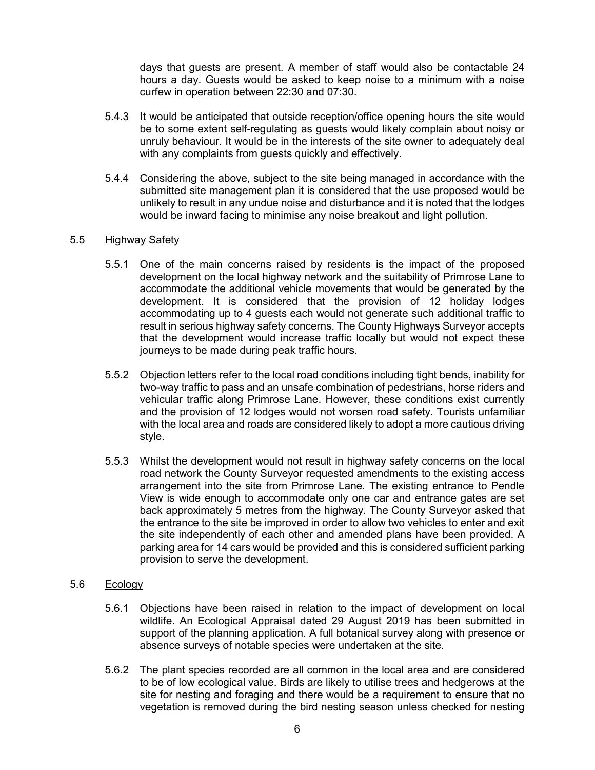days that guests are present. A member of staff would also be contactable 24 hours a day. Guests would be asked to keep noise to a minimum with a noise curfew in operation between 22:30 and 07:30.

- 5.4.3 It would be anticipated that outside reception/office opening hours the site would be to some extent self-regulating as guests would likely complain about noisy or unruly behaviour. It would be in the interests of the site owner to adequately deal with any complaints from guests quickly and effectively.
- 5.4.4 Considering the above, subject to the site being managed in accordance with the submitted site management plan it is considered that the use proposed would be unlikely to result in any undue noise and disturbance and it is noted that the lodges would be inward facing to minimise any noise breakout and light pollution.

#### 5.5 Highway Safety

- 5.5.1 One of the main concerns raised by residents is the impact of the proposed development on the local highway network and the suitability of Primrose Lane to accommodate the additional vehicle movements that would be generated by the development. It is considered that the provision of 12 holiday lodges accommodating up to 4 guests each would not generate such additional traffic to result in serious highway safety concerns. The County Highways Surveyor accepts that the development would increase traffic locally but would not expect these journeys to be made during peak traffic hours.
- 5.5.2 Objection letters refer to the local road conditions including tight bends, inability for two-way traffic to pass and an unsafe combination of pedestrians, horse riders and vehicular traffic along Primrose Lane. However, these conditions exist currently and the provision of 12 lodges would not worsen road safety. Tourists unfamiliar with the local area and roads are considered likely to adopt a more cautious driving style.
- 5.5.3 Whilst the development would not result in highway safety concerns on the local road network the County Surveyor requested amendments to the existing access arrangement into the site from Primrose Lane. The existing entrance to Pendle View is wide enough to accommodate only one car and entrance gates are set back approximately 5 metres from the highway. The County Surveyor asked that the entrance to the site be improved in order to allow two vehicles to enter and exit the site independently of each other and amended plans have been provided. A parking area for 14 cars would be provided and this is considered sufficient parking provision to serve the development.

#### 5.6 Ecology

- 5.6.1 Objections have been raised in relation to the impact of development on local wildlife. An Ecological Appraisal dated 29 August 2019 has been submitted in support of the planning application. A full botanical survey along with presence or absence surveys of notable species were undertaken at the site.
- 5.6.2 The plant species recorded are all common in the local area and are considered to be of low ecological value. Birds are likely to utilise trees and hedgerows at the site for nesting and foraging and there would be a requirement to ensure that no vegetation is removed during the bird nesting season unless checked for nesting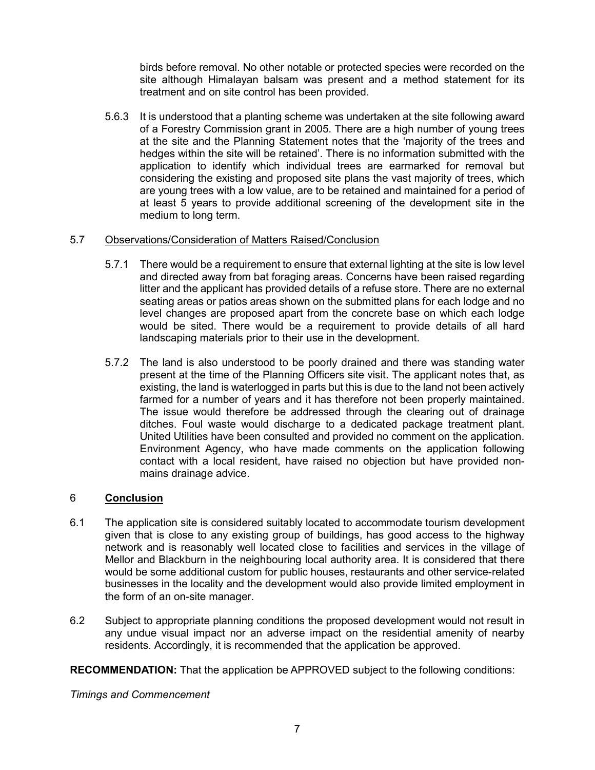birds before removal. No other notable or protected species were recorded on the site although Himalayan balsam was present and a method statement for its treatment and on site control has been provided.

5.6.3 It is understood that a planting scheme was undertaken at the site following award of a Forestry Commission grant in 2005. There are a high number of young trees at the site and the Planning Statement notes that the 'majority of the trees and hedges within the site will be retained'. There is no information submitted with the application to identify which individual trees are earmarked for removal but considering the existing and proposed site plans the vast majority of trees, which are young trees with a low value, are to be retained and maintained for a period of at least 5 years to provide additional screening of the development site in the medium to long term.

#### 5.7 Observations/Consideration of Matters Raised/Conclusion

- 5.7.1 There would be a requirement to ensure that external lighting at the site is low level and directed away from bat foraging areas. Concerns have been raised regarding litter and the applicant has provided details of a refuse store. There are no external seating areas or patios areas shown on the submitted plans for each lodge and no level changes are proposed apart from the concrete base on which each lodge would be sited. There would be a requirement to provide details of all hard landscaping materials prior to their use in the development.
- 5.7.2 The land is also understood to be poorly drained and there was standing water present at the time of the Planning Officers site visit. The applicant notes that, as existing, the land is waterlogged in parts but this is due to the land not been actively farmed for a number of years and it has therefore not been properly maintained. The issue would therefore be addressed through the clearing out of drainage ditches. Foul waste would discharge to a dedicated package treatment plant. United Utilities have been consulted and provided no comment on the application. Environment Agency, who have made comments on the application following contact with a local resident, have raised no objection but have provided nonmains drainage advice.

#### 6 **Conclusion**

- 6.1 The application site is considered suitably located to accommodate tourism development given that is close to any existing group of buildings, has good access to the highway network and is reasonably well located close to facilities and services in the village of Mellor and Blackburn in the neighbouring local authority area. It is considered that there would be some additional custom for public houses, restaurants and other service-related businesses in the locality and the development would also provide limited employment in the form of an on-site manager.
- 6.2 Subject to appropriate planning conditions the proposed development would not result in any undue visual impact nor an adverse impact on the residential amenity of nearby residents. Accordingly, it is recommended that the application be approved.

**RECOMMENDATION:** That the application be APPROVED subject to the following conditions:

*Timings and Commencement*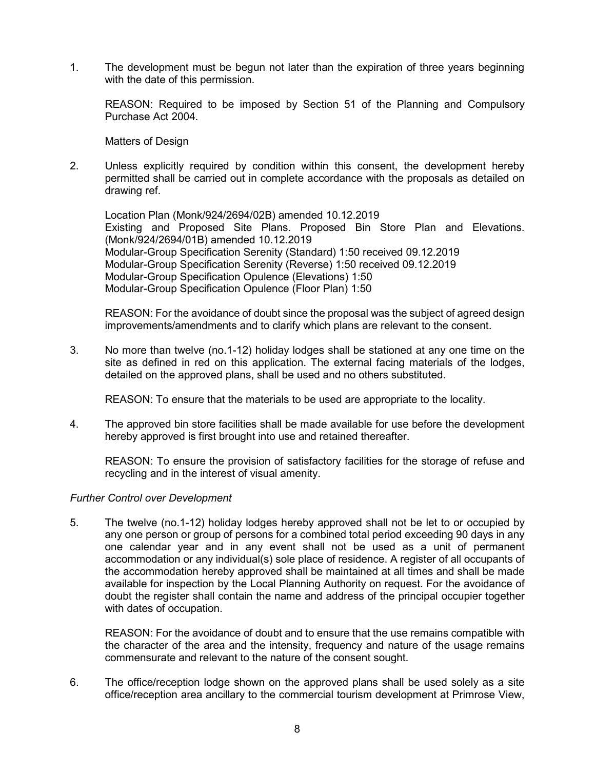1. The development must be begun not later than the expiration of three years beginning with the date of this permission.

REASON: Required to be imposed by Section 51 of the Planning and Compulsory Purchase Act 2004.

Matters of Design

2. Unless explicitly required by condition within this consent, the development hereby permitted shall be carried out in complete accordance with the proposals as detailed on drawing ref.

Location Plan (Monk/924/2694/02B) amended 10.12.2019 Existing and Proposed Site Plans. Proposed Bin Store Plan and Elevations. (Monk/924/2694/01B) amended 10.12.2019 Modular-Group Specification Serenity (Standard) 1:50 received 09.12.2019 Modular-Group Specification Serenity (Reverse) 1:50 received 09.12.2019 Modular-Group Specification Opulence (Elevations) 1:50 Modular-Group Specification Opulence (Floor Plan) 1:50

REASON: For the avoidance of doubt since the proposal was the subject of agreed design improvements/amendments and to clarify which plans are relevant to the consent.

3. No more than twelve (no.1-12) holiday lodges shall be stationed at any one time on the site as defined in red on this application. The external facing materials of the lodges, detailed on the approved plans, shall be used and no others substituted.

REASON: To ensure that the materials to be used are appropriate to the locality.

4. The approved bin store facilities shall be made available for use before the development hereby approved is first brought into use and retained thereafter.

REASON: To ensure the provision of satisfactory facilities for the storage of refuse and recycling and in the interest of visual amenity.

#### *Further Control over Development*

5. The twelve (no.1-12) holiday lodges hereby approved shall not be let to or occupied by any one person or group of persons for a combined total period exceeding 90 days in any one calendar year and in any event shall not be used as a unit of permanent accommodation or any individual(s) sole place of residence. A register of all occupants of the accommodation hereby approved shall be maintained at all times and shall be made available for inspection by the Local Planning Authority on request. For the avoidance of doubt the register shall contain the name and address of the principal occupier together with dates of occupation.

REASON: For the avoidance of doubt and to ensure that the use remains compatible with the character of the area and the intensity, frequency and nature of the usage remains commensurate and relevant to the nature of the consent sought.

6. The office/reception lodge shown on the approved plans shall be used solely as a site office/reception area ancillary to the commercial tourism development at Primrose View,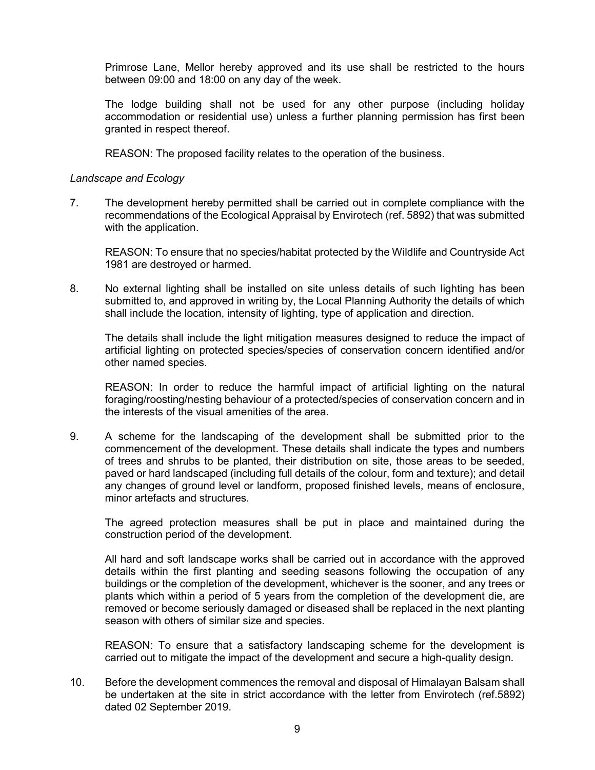Primrose Lane, Mellor hereby approved and its use shall be restricted to the hours between 09:00 and 18:00 on any day of the week.

The lodge building shall not be used for any other purpose (including holiday accommodation or residential use) unless a further planning permission has first been granted in respect thereof.

REASON: The proposed facility relates to the operation of the business.

#### *Landscape and Ecology*

7. The development hereby permitted shall be carried out in complete compliance with the recommendations of the Ecological Appraisal by Envirotech (ref. 5892) that was submitted with the application.

REASON: To ensure that no species/habitat protected by the Wildlife and Countryside Act 1981 are destroyed or harmed.

8. No external lighting shall be installed on site unless details of such lighting has been submitted to, and approved in writing by, the Local Planning Authority the details of which shall include the location, intensity of lighting, type of application and direction.

The details shall include the light mitigation measures designed to reduce the impact of artificial lighting on protected species/species of conservation concern identified and/or other named species.

REASON: In order to reduce the harmful impact of artificial lighting on the natural foraging/roosting/nesting behaviour of a protected/species of conservation concern and in the interests of the visual amenities of the area.

9. A scheme for the landscaping of the development shall be submitted prior to the commencement of the development. These details shall indicate the types and numbers of trees and shrubs to be planted, their distribution on site, those areas to be seeded, paved or hard landscaped (including full details of the colour, form and texture); and detail any changes of ground level or landform, proposed finished levels, means of enclosure, minor artefacts and structures.

The agreed protection measures shall be put in place and maintained during the construction period of the development.

All hard and soft landscape works shall be carried out in accordance with the approved details within the first planting and seeding seasons following the occupation of any buildings or the completion of the development, whichever is the sooner, and any trees or plants which within a period of 5 years from the completion of the development die, are removed or become seriously damaged or diseased shall be replaced in the next planting season with others of similar size and species.

REASON: To ensure that a satisfactory landscaping scheme for the development is carried out to mitigate the impact of the development and secure a high-quality design.

10. Before the development commences the removal and disposal of Himalayan Balsam shall be undertaken at the site in strict accordance with the letter from Envirotech (ref.5892) dated 02 September 2019.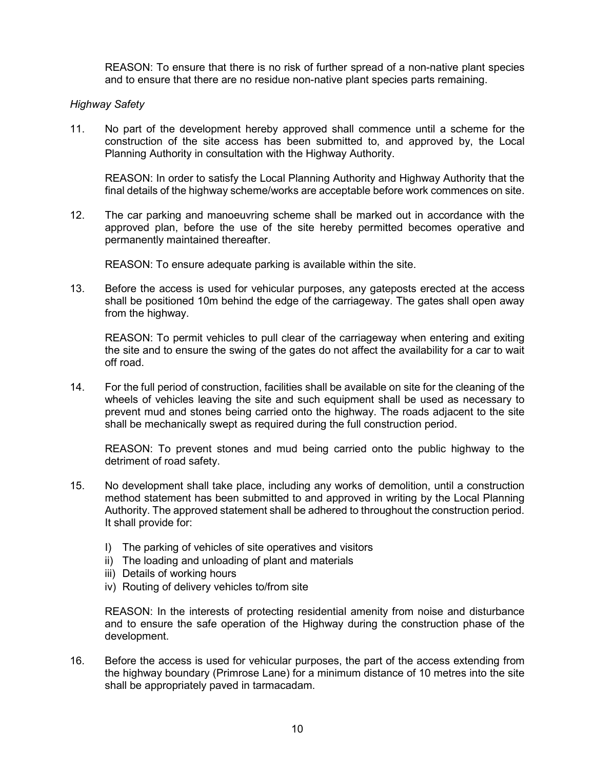REASON: To ensure that there is no risk of further spread of a non-native plant species and to ensure that there are no residue non-native plant species parts remaining.

#### *Highway Safety*

11. No part of the development hereby approved shall commence until a scheme for the construction of the site access has been submitted to, and approved by, the Local Planning Authority in consultation with the Highway Authority.

REASON: In order to satisfy the Local Planning Authority and Highway Authority that the final details of the highway scheme/works are acceptable before work commences on site.

12. The car parking and manoeuvring scheme shall be marked out in accordance with the approved plan, before the use of the site hereby permitted becomes operative and permanently maintained thereafter.

REASON: To ensure adequate parking is available within the site.

13. Before the access is used for vehicular purposes, any gateposts erected at the access shall be positioned 10m behind the edge of the carriageway. The gates shall open away from the highway.

REASON: To permit vehicles to pull clear of the carriageway when entering and exiting the site and to ensure the swing of the gates do not affect the availability for a car to wait off road.

14. For the full period of construction, facilities shall be available on site for the cleaning of the wheels of vehicles leaving the site and such equipment shall be used as necessary to prevent mud and stones being carried onto the highway. The roads adjacent to the site shall be mechanically swept as required during the full construction period.

REASON: To prevent stones and mud being carried onto the public highway to the detriment of road safety.

- 15. No development shall take place, including any works of demolition, until a construction method statement has been submitted to and approved in writing by the Local Planning Authority. The approved statement shall be adhered to throughout the construction period. It shall provide for:
	- I) The parking of vehicles of site operatives and visitors
	- ii) The loading and unloading of plant and materials
	- iii) Details of working hours
	- iv) Routing of delivery vehicles to/from site

REASON: In the interests of protecting residential amenity from noise and disturbance and to ensure the safe operation of the Highway during the construction phase of the development.

16. Before the access is used for vehicular purposes, the part of the access extending from the highway boundary (Primrose Lane) for a minimum distance of 10 metres into the site shall be appropriately paved in tarmacadam.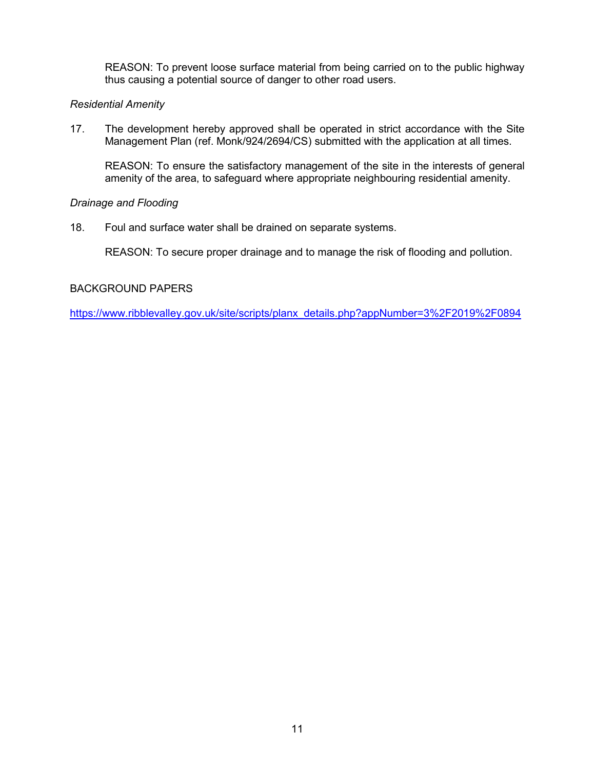REASON: To prevent loose surface material from being carried on to the public highway thus causing a potential source of danger to other road users.

#### *Residential Amenity*

17. The development hereby approved shall be operated in strict accordance with the Site Management Plan (ref. Monk/924/2694/CS) submitted with the application at all times.

REASON: To ensure the satisfactory management of the site in the interests of general amenity of the area, to safeguard where appropriate neighbouring residential amenity.

#### *Drainage and Flooding*

18. Foul and surface water shall be drained on separate systems.

REASON: To secure proper drainage and to manage the risk of flooding and pollution.

#### BACKGROUND PAPERS

[https://www.ribblevalley.gov.uk/site/scripts/planx\\_details.php?appNumber=3%2F2019%2F0894](https://www.ribblevalley.gov.uk/site/scripts/planx_details.php?appNumber=3%2F2019%2F0894)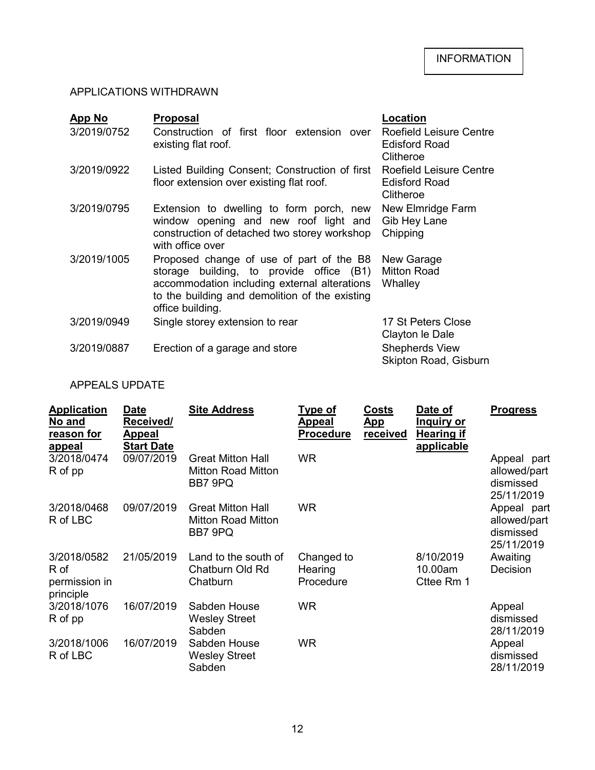# APPLICATIONS WITHDRAWN

| App No<br>3/2019/0752 | <b>Proposal</b><br>Construction of first floor extension over<br>existing flat roof.                                                                                                                       | Location<br>Roefield Leisure Centre<br><b>Edisford Road</b><br>Clitheroe |
|-----------------------|------------------------------------------------------------------------------------------------------------------------------------------------------------------------------------------------------------|--------------------------------------------------------------------------|
| 3/2019/0922           | Listed Building Consent; Construction of first<br>floor extension over existing flat roof.                                                                                                                 | Roefield Leisure Centre<br><b>Edisford Road</b><br>Clitheroe             |
| 3/2019/0795           | Extension to dwelling to form porch, new<br>window opening and new roof light and<br>construction of detached two storey workshop<br>with office over                                                      | New Elmridge Farm<br>Gib Hey Lane<br>Chipping                            |
| 3/2019/1005           | Proposed change of use of part of the B8<br>storage building, to provide office (B1)<br>accommodation including external alterations<br>to the building and demolition of the existing<br>office building. | New Garage<br><b>Mitton Road</b><br>Whalley                              |
| 3/2019/0949           | Single storey extension to rear                                                                                                                                                                            | 17 St Peters Close<br>Clayton le Dale                                    |
| 3/2019/0887           | Erection of a garage and store                                                                                                                                                                             | <b>Shepherds View</b><br>Skipton Road, Gisburn                           |

#### APPEALS UPDATE

| <b>Application</b><br>No and<br>reason for<br><u>appeal</u> | Date<br>Received/<br><u>Appeal</u><br><b>Start Date</b> | <b>Site Address</b>                                              | <u>Type of</u><br><b>Appeal</b><br><b>Procedure</b> | Costs<br><u>App</u><br><b>received</b> | Date of<br><u>Inquiry or</u><br><b>Hearing if</b><br>applicable | <b>Progress</b>                                        |
|-------------------------------------------------------------|---------------------------------------------------------|------------------------------------------------------------------|-----------------------------------------------------|----------------------------------------|-----------------------------------------------------------------|--------------------------------------------------------|
| 3/2018/0474<br>R of pp                                      | 09/07/2019                                              | <b>Great Mitton Hall</b><br><b>Mitton Road Mitton</b><br>BB7 9PQ | <b>WR</b>                                           |                                        |                                                                 | Appeal part<br>allowed/part<br>dismissed<br>25/11/2019 |
| 3/2018/0468<br>R of LBC                                     | 09/07/2019                                              | <b>Great Mitton Hall</b><br><b>Mitton Road Mitton</b><br>BB7 9PQ | <b>WR</b>                                           |                                        |                                                                 | Appeal part<br>allowed/part<br>dismissed<br>25/11/2019 |
| 3/2018/0582<br>R of<br>permission in<br>principle           | 21/05/2019                                              | Land to the south of<br>Chatburn Old Rd<br>Chatburn              | Changed to<br>Hearing<br>Procedure                  |                                        | 8/10/2019<br>10.00am<br>Cttee Rm 1                              | Awaiting<br>Decision                                   |
| 3/2018/1076<br>R of pp                                      | 16/07/2019                                              | Sabden House<br><b>Wesley Street</b><br>Sabden                   | <b>WR</b>                                           |                                        |                                                                 | Appeal<br>dismissed<br>28/11/2019                      |
| 3/2018/1006<br>R of LBC                                     | 16/07/2019                                              | Sabden House<br><b>Wesley Street</b><br>Sabden                   | <b>WR</b>                                           |                                        |                                                                 | Appeal<br>dismissed<br>28/11/2019                      |